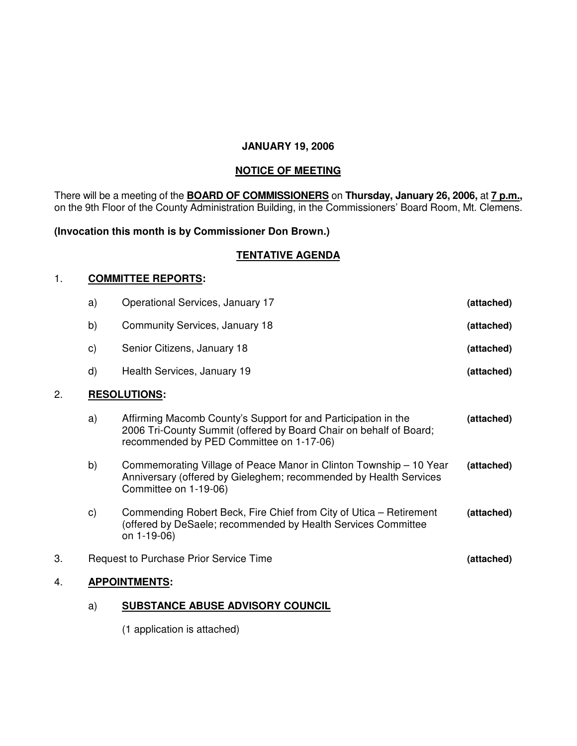### **JANUARY 19, 2006**

### **NOTICE OF MEETING**

There will be a meeting of the **BOARD OF COMMISSIONERS** on **Thursday, January 26, 2006,** at **7 p.m.,** on the 9th Floor of the County Administration Building, in the Commissioners' Board Room, Mt. Clemens.

# **(Invocation this month is by Commissioner Don Brown.)**

# **TENTATIVE AGENDA**

### 1. **COMMITTEE REPORTS:**

|    | a)                                                   | Operational Services, January 17                                                                                                                                                 | (attached) |
|----|------------------------------------------------------|----------------------------------------------------------------------------------------------------------------------------------------------------------------------------------|------------|
|    | b)                                                   | Community Services, January 18                                                                                                                                                   | (attached) |
|    | C)                                                   | Senior Citizens, January 18                                                                                                                                                      | (attached) |
|    | d)                                                   | Health Services, January 19                                                                                                                                                      | (attached) |
| 2. |                                                      | <b>RESOLUTIONS:</b>                                                                                                                                                              |            |
|    | a)                                                   | Affirming Macomb County's Support for and Participation in the<br>2006 Tri-County Summit (offered by Board Chair on behalf of Board;<br>recommended by PED Committee on 1-17-06) | (attached) |
|    | b)                                                   | Commemorating Village of Peace Manor in Clinton Township - 10 Year<br>Anniversary (offered by Gieleghem; recommended by Health Services<br>Committee on 1-19-06)                 | (attached) |
|    | C)                                                   | Commending Robert Beck, Fire Chief from City of Utica – Retirement<br>(offered by DeSaele; recommended by Health Services Committee<br>on 1-19-06)                               | (attached) |
| 3. | Request to Purchase Prior Service Time<br>(attached) |                                                                                                                                                                                  |            |
| 4. | <b>APPOINTMENTS:</b>                                 |                                                                                                                                                                                  |            |

# a) **SUBSTANCE ABUSE ADVISORY COUNCIL**

(1 application is attached)